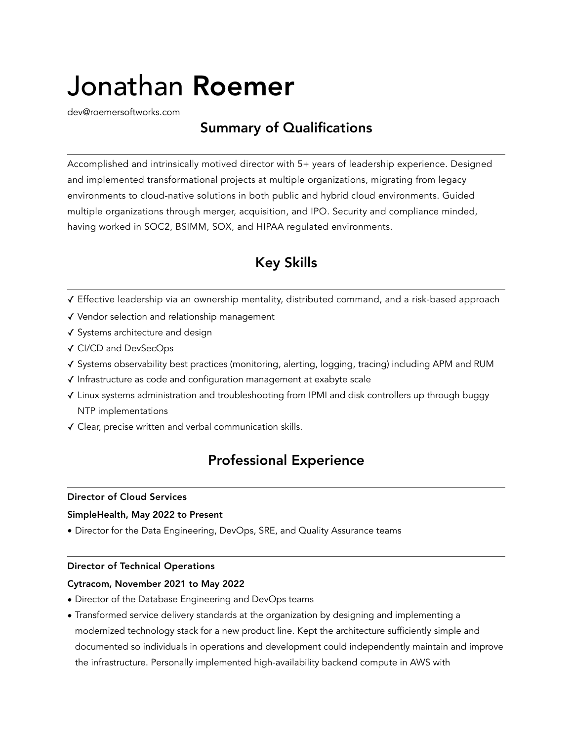# Jonathan Roemer

[dev@roemersoftworks.com](mailto:dev@roemersoftworks.com)

# Summary of Qualifications

Accomplished and intrinsically motived director with 5+ years of leadership experience. Designed and implemented transformational projects at multiple organizations, migrating from legacy environments to cloud-native solutions in both public and hybrid cloud environments. Guided multiple organizations through merger, acquisition, and IPO. Security and compliance minded, having worked in SOC2, BSIMM, SOX, and HIPAA regulated environments.

# Key Skills

- ✓ Effective leadership via an ownership mentality, distributed command, and a risk-based approach
- ✓ Vendor selection and relationship management
- ✓ Systems architecture and design
- ✓ CI/CD and DevSecOps
- ✓ Systems observability best practices (monitoring, alerting, logging, tracing) including APM and RUM
- ✓ Infrastructure as code and configuration management at exabyte scale
- ✓ Linux systems administration and troubleshooting from IPMI and disk controllers up through buggy NTP implementations
- ✓ Clear, precise written and verbal communication skills.

## Professional Experience

## Director of Cloud Services

## SimpleHealth, May 2022 to Present

• Director for the Data Engineering, DevOps, SRE, and Quality Assurance teams

## Director of Technical Operations

## Cytracom, November 2021 to May 2022

- Director of the Database Engineering and DevOps teams
- Transformed service delivery standards at the organization by designing and implementing a modernized technology stack for a new product line. Kept the architecture sufficiently simple and documented so individuals in operations and development could independently maintain and improve the infrastructure. Personally implemented high-availability backend compute in AWS with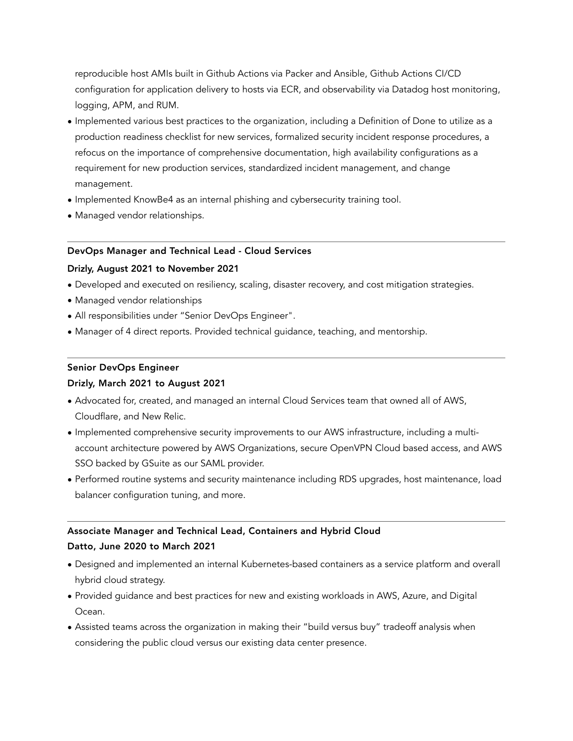reproducible host AMIs built in Github Actions via Packer and Ansible, Github Actions CI/CD configuration for application delivery to hosts via ECR, and observability via Datadog host monitoring, logging, APM, and RUM.

- Implemented various best practices to the organization, including a Definition of Done to utilize as a production readiness checklist for new services, formalized security incident response procedures, a refocus on the importance of comprehensive documentation, high availability configurations as a requirement for new production services, standardized incident management, and change management.
- Implemented KnowBe4 as an internal phishing and cybersecurity training tool.
- Managed vendor relationships.

## DevOps Manager and Technical Lead - Cloud Services

## Drizly, August 2021 to November 2021

- Developed and executed on resiliency, scaling, disaster recovery, and cost mitigation strategies.
- Managed vendor relationships
- All responsibilities under "Senior DevOps Engineer".
- Manager of 4 direct reports. Provided technical guidance, teaching, and mentorship.

## Senior DevOps Engineer

## Drizly, March 2021 to August 2021

- Advocated for, created, and managed an internal Cloud Services team that owned all of AWS, Cloudflare, and New Relic.
- Implemented comprehensive security improvements to our AWS infrastructure, including a multiaccount architecture powered by AWS Organizations, secure OpenVPN Cloud based access, and AWS SSO backed by GSuite as our SAML provider.
- Performed routine systems and security maintenance including RDS upgrades, host maintenance, load balancer configuration tuning, and more.

## Associate Manager and Technical Lead, Containers and Hybrid Cloud

## Datto, June 2020 to March 2021

- Designed and implemented an internal Kubernetes-based containers as a service platform and overall hybrid cloud strategy.
- Provided guidance and best practices for new and existing workloads in AWS, Azure, and Digital Ocean.
- Assisted teams across the organization in making their "build versus buy" tradeoff analysis when considering the public cloud versus our existing data center presence.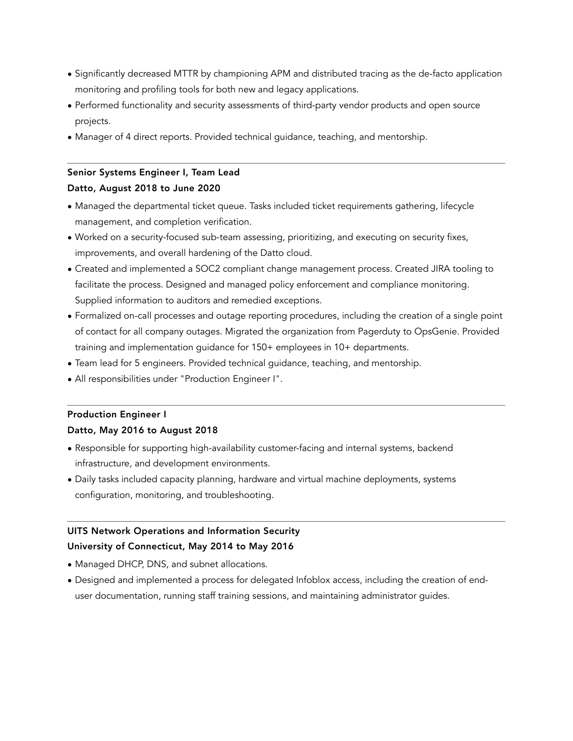- Significantly decreased MTTR by championing APM and distributed tracing as the de-facto application monitoring and profiling tools for both new and legacy applications.
- Performed functionality and security assessments of third-party vendor products and open source projects.
- Manager of 4 direct reports. Provided technical guidance, teaching, and mentorship.

## Senior Systems Engineer I, Team Lead

## Datto, August 2018 to June 2020

- Managed the departmental ticket queue. Tasks included ticket requirements gathering, lifecycle management, and completion verification.
- Worked on a security-focused sub-team assessing, prioritizing, and executing on security fixes, improvements, and overall hardening of the Datto cloud.
- Created and implemented a SOC2 compliant change management process. Created JIRA tooling to facilitate the process. Designed and managed policy enforcement and compliance monitoring. Supplied information to auditors and remedied exceptions.
- Formalized on-call processes and outage reporting procedures, including the creation of a single point of contact for all company outages. Migrated the organization from Pagerduty to OpsGenie. Provided training and implementation guidance for 150+ employees in 10+ departments.
- Team lead for 5 engineers. Provided technical guidance, teaching, and mentorship.
- All responsibilities under "Production Engineer I".

## Production Engineer I

## Datto, May 2016 to August 2018

- Responsible for supporting high-availability customer-facing and internal systems, backend infrastructure, and development environments.
- Daily tasks included capacity planning, hardware and virtual machine deployments, systems configuration, monitoring, and troubleshooting.

## UITS Network Operations and Information Security

## University of Connecticut, May 2014 to May 2016

- Managed DHCP, DNS, and subnet allocations.
- Designed and implemented a process for delegated Infoblox access, including the creation of enduser documentation, running staff training sessions, and maintaining administrator guides.